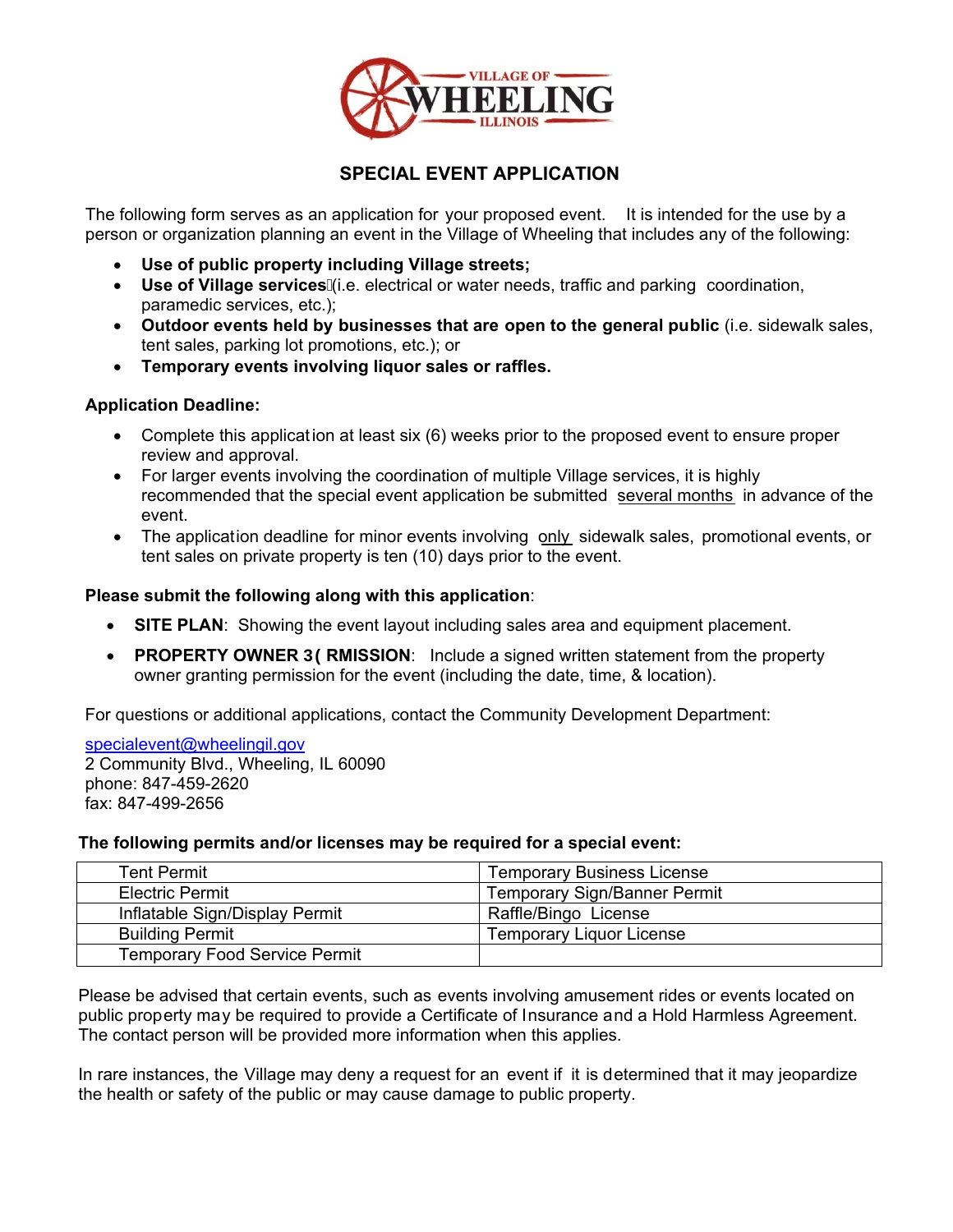

## **SPECIAL EVENT APPLICATION**

The following form serves as an application for your proposed event. It is intended for the use by a person or organization planning an event in the Village of Wheeling that includes any of the following:

- **Use of public property including Village streets;**
- **Use of Village services**(i.e. electrical or water needs, traffic and parking coordination, paramedic services, etc.);
- **Outdoor events held by businesses that are open to the general public** (i.e. sidewalk sales, tent sales, parking lot promotions, etc.); or
- **Temporary events involving liquor sales or raffles.**

### **Application Deadline:**

- Complete this application at least six (6) weeks prior to the proposed event to ensure proper review and approval.
- For larger events involving the coordination of multiple Village services, it is highly recommended that the special event application be submitted several months in advance of the event.
- The application deadline for minor events involving only sidewalk sales, promotional events, or tent sales on private property is ten (10) days prior to the event.

### **Please submit the following along with this application**:

- **SITE PLAN**: Showing the event layout including sales area and equipment placement.
- **PROPERTY OWNER D9RMISSION:** Include a signed written statement from the property owner granting permission for the event (including the date, time, & location).

For questions or additional applications, contact the Community Development Department:

specialevent@wheelingil.gov 2 Community Blvd., Wheeling, IL 60090 phone: 847-459-2620 fax: 847-499-2656

#### **The following permits and/or licenses may be required for a special event:**

| Tent Permit                          | <b>Temporary Business License</b>   |
|--------------------------------------|-------------------------------------|
| <b>Electric Permit</b>               | <b>Temporary Sign/Banner Permit</b> |
| Inflatable Sign/Display Permit       | Raffle/Bingo License                |
| <b>Building Permit</b>               | <b>Temporary Liquor License</b>     |
| <b>Temporary Food Service Permit</b> |                                     |

Please be advised that certain events, such as events involving amusement rides or events located on public property may be required to provide a Certificate of Insurance and a Hold Harmless Agreement. The contact person will be provided more information when this applies.

In rare instances, the Village may deny a request for an event if it is determined that it may jeopardize the health or safety of the public or may cause damage to public property.